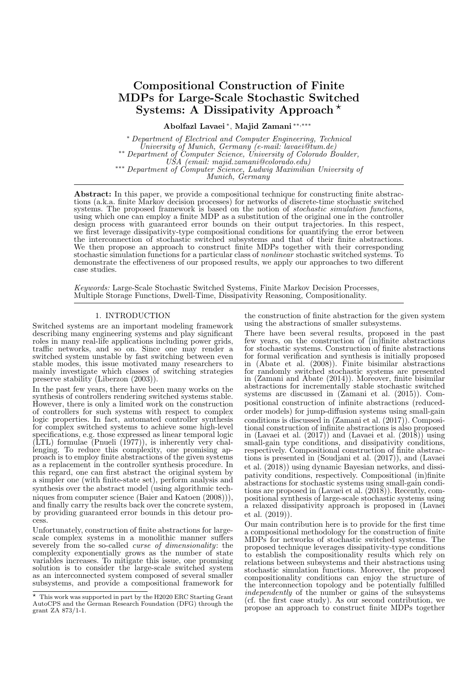# Compositional Construction of Finite MDPs for Large-Scale Stochastic Switched Systems: A Dissipativity Approach  $\star$

Abolfazl Lavaei <sup>∗</sup> , Majid Zamani ∗∗,∗∗∗

<sup>∗</sup> Department of Electrical and Computer Engineering, Technical University of Munich, Germany  $(e$ -mail: lavaei@tum.de) ∗∗ Department of Computer Science, University of Colorado Boulder, USA (email: majid.zamani@colorado.edu) ∗∗∗ Department of Computer Science, Ludwig Maximilian University of Munich, Germany

Abstract: In this paper, we provide a compositional technique for constructing finite abstractions (a.k.a. finite Markov decision processes) for networks of discrete-time stochastic switched systems. The proposed framework is based on the notion of *stochastic simulation functions*, using which one can employ a finite MDP as a substitution of the original one in the controller design process with guaranteed error bounds on their output trajectories. In this respect, we first leverage dissipativity-type compositional conditions for quantifying the error between the interconnection of stochastic switched subsystems and that of their finite abstractions. We then propose an approach to construct finite MDPs together with their corresponding stochastic simulation functions for a particular class of nonlinear stochastic switched systems. To demonstrate the effectiveness of our proposed results, we apply our approaches to two different case studies.

Keywords: Large-Scale Stochastic Switched Systems, Finite Markov Decision Processes, Multiple Storage Functions, Dwell-Time, Dissipativity Reasoning, Compositionality.

#### 1. INTRODUCTION

Switched systems are an important modeling framework describing many engineering systems and play significant roles in many real-life applications including power grids, traffic networks, and so on. Since one may render a switched system unstable by fast switching between even stable modes, this issue motivated many researchers to mainly investigate which classes of switching strategies preserve stability (Liberzon (2003)).

In the past few years, there have been many works on the synthesis of controllers rendering switched systems stable. However, there is only a limited work on the construction of controllers for such systems with respect to complex logic properties. In fact, automated controller synthesis for complex switched systems to achieve some high-level specifications, e.g. those expressed as linear temporal logic  $(LTL)$  formulae (Pnueli (1977)), is inherently very challenging. To reduce this complexity, one promising approach is to employ finite abstractions of the given systems as a replacement in the controller synthesis procedure. In this regard, one can first abstract the original system by a simpler one (with finite-state set), perform analysis and synthesis over the abstract model (using algorithmic techniques from computer science (Baier and Katoen (2008))), and finally carry the results back over the concrete system. by providing guaranteed error bounds in this detour process.

Unfortunately, construction of finite abstractions for largescale complex systems in a monolithic manner suffers severely from the so-called *curse of dimensionality*: the complexity exponentially grows as the number of state variables increases. To mitigate this issue, one promising solution is to consider the large-scale switched system as an interconnected system composed of several smaller subsystems, and provide a compositional framework for

the construction of finite abstraction for the given system using the abstractions of smaller subsystems.

There have been several results, proposed in the past few years, on the construction of (in)finite abstractions for stochastic systems. Construction of finite abstractions for formal verification and synthesis is initially proposed in (Abate et al. (2008)). Finite bisimilar abstractions for randomly switched stochastic systems are presented in (Zamani and Abate (2014)). Moreover, finite bisimilar abstractions for incrementally stable stochastic switched systems are discussed in (Zamani et al. (2015)). Compositional construction of infinite abstractions (reducedorder models) for jump-diffusion systems using small-gain conditions is discussed in (Zamani et al. (2017)). Compositional construction of infinite abstractions is also proposed in (Lavaei et al. (2017)) and (Lavaei et al. (2018)) using small-gain type conditions, and dissipativity conditions, respectively. Compositional construction of finite abstractions is presented in (Soudjani et al. (2017)), and (Lavaei et al. (2018)) using dynamic Bayesian networks, and dissipativity conditions, respectively. Compositional (in)finite abstractions for stochastic systems using small-gain conditions are proposed in (Lavaei et al. (2018)). Recently, compositional synthesis of large-scale stochastic systems using a relaxed dissipativity approach is proposed in (Lavaei et al. (2019)).

Our main contribution here is to provide for the first time a compositional methodology for the construction of finite MDPs for networks of stochastic switched systems. The proposed technique leverages dissipativity-type conditions to establish the compositionality results which rely on relations between subsystems and their abstractions using stochastic simulation functions. Moreover, the proposed compositionality conditions can enjoy the structure of the interconnection topology and be potentially fulfilled independently of the number or gains of the subsystems (cf. the first case study). As our second contribution, we propose an approach to construct finite MDPs together

 $*$  This work was supported in part by the H2020 ERC Starting Grant AutoCPS and the German Research Foundation (DFG) through the grant ZA 873/1-1.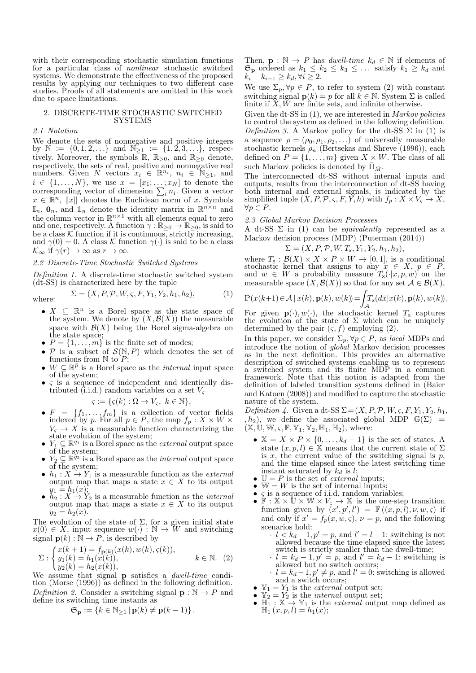with their corresponding stochastic simulation functions for a particular class of nonlinear stochastic switched systems. We demonstrate the effectiveness of the proposed results by applying our techniques to two different case studies. Proofs of all statements are omitted in this work due to space limitations.

# 2. DISCRETE-TIME STOCHASTIC SWITCHED SYSTEMS

## 2.1 Notation

We denote the sets of nonnegative and positive integers by  $\mathbb{N} := \{0, 1, 2, \ldots\}$  and  $\mathbb{N}_{\geq 1} := \{1, 2, 3, \ldots\}$ , respectively. Moreover, the symbols  $\mathbb{R}$ ,  $\mathbb{R}_{>0}$ , and  $\mathbb{R}_{\geq 0}$  denote, respectively, the sets of real, positive and nonnegative real numbers. Given  $N$  vectors  $x_i \in \mathbb{R}^{n_i}$ ,  $n_i \in \mathbb{N}_{\geq 1}$ , and  $i \in \{1, \ldots, N\}$ , we use  $x = [x_1; \ldots; x_N]$  to denote the corresponding vector of dimension  $\sum_i n_i$ . Given a vector  $x \in \mathbb{R}^n$ ,  $||x||$  denotes the Euclidean norm of x. Symbols  $\mathbb{I}_n$ ,  $\mathbf{0}_n$ , and  $\mathbb{I}_n$  denote the identity matrix in  $\mathbb{R}^{n \times n}$  and the column vector in  $\mathbb{R}^{n\times 1}$  with all elements equal to zero and one, respectively. A function  $\gamma : \mathbb{R}_{\geq 0} \to \mathbb{R}_{\geq 0}$ , is said to be a class  $K$  function if it is continuous, strictly increasing, and  $\gamma(0) = 0$ . A class K function  $\gamma(\cdot)$  is said to be a class  $\mathcal{K}_{\infty}$  if  $\gamma(r) \to \infty$  as  $r \to \infty$ .

## 2.2 Discrete-Time Stochastic Switched Systems

Definition 1. A discrete-time stochastic switched system (dt-SS) is characterized here by the tuple

where: 
$$
\Sigma = (X, P, \mathcal{P}, W, \varsigma, F, Y_1, Y_2, h_1, h_2),
$$
 (1)

- $X \subseteq \mathbb{R}^n$  is a Borel space as the state space of the system. We denote by  $(X, \mathcal{B}(X))$  the measurable space with  $\mathcal{B}(X)$  being the Borel sigma-algebra on the state space;
- $P = \{1, \ldots, m\}$  is the finite set of modes;
- $P$  is a subset of  $S(N, P)$  which denotes the set of functions from  $\mathbb N$  to  $\mathbb P$ ;
- $W \subseteq \mathbb{R}^{\bar{p}}$  is a Borel space as the *internal* input space of the system:
- $\bullet$   $\varsigma$  is a sequence of independent and identically distributed (i.i.d.) random variables on a set  $V<sub>s</sub>$

$$
\varsigma := \{ \varsigma(k) : \Omega \to V_{\varsigma}, \ k \in \mathbb{N} \},
$$

- $F = \{f_1, \ldots, f_m\}$  is a collection of vector fields indexed by p. For all  $p \in P$ , the map  $f_p: X \times W \times$  $V_{\rm s} \to X$  is a measurable function characterizing the state evolution of the system;
- $Y_1 \subseteq \mathbb{R}^{q_1}$  is a Borel space as the *external* output space of the system;
- $Y_2 \subseteq \mathbb{R}^{q_2}$  is a Borel space as the *internal* output space of the system;
- $h_1 : X \to Y_1$  is a measurable function as the *external* output map that maps a state  $x \in X$  to its output  $y_1 = h_1(x);$
- $h_2: X \to Y_2$  is a measurable function as the *internal* output map that maps a state  $x \in X$  to its output  $y_2 = h_2(x)$ .

The evolution of the state of  $\Sigma$ , for a given initial state  $x(0) \in X$ , input sequence  $w(\cdot) : \mathbb{N} \to W$  and switching signal  $p(k): \mathbb{N} \to P$ , is described by

$$
\Sigma: \begin{cases} x(k+1) = f_{\mathbf{p}(k)}(x(k), w(k), \varsigma(k)), \\ y_1(k) = h_1(x(k)), \\ y_2(k) = h_2(x(k)), \end{cases} \quad k \in \mathbb{N}. \tag{2}
$$

We assume that signal **p** satisfies a *dwell-time* condition (Morse (1996)) as defined in the following definition. Definition 2. Consider a switching signal  $\mathbf{p} : \mathbb{N} \to P$  and define its switching time instants as

$$
\mathfrak{S}_{\mathbf{p}} := \{ k \in \mathbb{N}_{\geq 1} \, | \, \mathbf{p}(k) \neq \mathbf{p}(k-1) \} \, .
$$

Then,  $\mathbf{p} : \mathbb{N} \to P$  has *dwell-time*  $k_d \in \mathbb{N}$  if elements of  $\mathfrak{S}_{\mathbf{p}}$  ordered as  $k_1 \leq k_2 \leq k_3 \leq \ldots$  satisfy  $k_1 \geq k_d$  and  $k_i - k_{i-1} \geq k_d, \forall i \geq 2.$ 

We use  $\Sigma_p, \forall p \in P$ , to refer to system (2) with constant switching signal  $p(k) = p$  for all  $k \in \mathbb{N}$ . System  $\Sigma$  is called finite if  $X, W$  are finite sets, and infinite otherwise.

Given the dt-SS in  $(1)$ , we are interested in *Markov policies* to control the system as defined in the following definition. Definition 3. A Markov policy for the dt-SS  $\Sigma$  in (1) is a sequence  $\rho = (\rho_0, \rho_1, \rho_2, \ldots)$  of universally measurable stochastic kernels  $\rho_n$  (Bertsekas and Shreve (1996)), each defined on  $P = \{1, \ldots, m\}$  given  $X \times W$ . The class of all such Markov policies is denoted by  $\bar{\Pi}_{\bar{M}}$ .

The interconnected dt-SS without internal inputs and outputs, results from the interconnection of dt-SS having both internal and external signals, is indicated by the simplified tuple  $(X, P, \mathcal{P}, \varsigma, F, Y, h)$  with  $f_p: X \times V_{\varsigma} \to X$ ,  $\forall p \in P.$ 

### 2.3 Global Markov Decision Processes

A dt-SS  $\Sigma$  in (1) can be *equivalently* represented as a Markov decision process (MDP) (Puterman (2014))

$$
\Sigma = (X, P, \mathcal{P}, W, T_{\mathsf{x}}, Y_1, Y_2, h_1, h_2),
$$

where  $T_x : \mathcal{B}(X) \times X \times P \times W \to [0, 1]$ , is a conditional stochastic kernel that assigns to any  $x \in X$ ,  $p \in P$ , and  $w \in W$  a probability measure  $T_{\mathsf{x}}(\cdot|x, p, w)$  on the measurable space  $(X, \mathcal{B}(X))$  so that for any set  $\mathcal{A} \in \mathcal{B}(X)$ ,

$$
\mathbb{P}(x(k+1)\in \mathcal{A}\,|\,x(k),\mathbf{p}(k),w(k))\!=\!\!\int_{\mathcal{A}}\!\!T_{\mathsf{x}}(d\bar{x}|x(k),\mathbf{p}(k),w(k)).
$$

For given  $\mathbf{p}(\cdot), w(\cdot)$ , the stochastic kernel  $T_x$  captures the evolution of the state of  $\Sigma$  which can be uniquely determined by the pair  $(\varsigma, f)$  employing (2).

In this paper, we consider  $\Sigma_p, \forall p \in P$ , as *local* MDPs and introduce the notion of global Markov decision processes as in the next definition. This provides an alternative description of switched systems enabling us to represent a switched system and its finite MDP in a common framework. Note that this notion is adapted from the definition of labeled transition systems defined in (Baier and Katoen (2008)) and modified to capture the stochastic nature of the system.

Definition 4. Given a dt-SS  $\Sigma = (X, P, P, W, \varsigma, F, Y_1, Y_2, h_1,$ ,  $h_2$ ), we define the associated global MDP  $\mathbb{G}(\Sigma)$  =  $(\mathbb{X}, \mathbb{U}, \mathbb{W}, \varsigma, \mathbb{F}, \mathbb{Y}_1, \mathbb{Y}_2, \mathbb{H}_1, \mathbb{H}_2)$ , where:

- $\mathbb{X} = X \times P \times \{0, \ldots, k_d 1\}$  is the set of states. A state  $(x, p, l) \in \mathbb{X}$  means that the current state of  $\Sigma$ is x, the current value of the switching signal is  $p$ , and the time elapsed since the latest switching time instant saturated by  $k_d$  is l;
- $\mathbb{U} = P$  is the set of *external* inputs;
- $W = W$  is the set of internal inputs;<br>•  $\epsilon$  is a sequence of i.i.d. random varia
- $\varsigma$  is a sequence of i.i.d. random variables;<br>•  $\mathbb{F} : \mathbb{X} \times \mathbb{U} \times \mathbb{W} \times V_{\varsigma} \to \mathbb{X}$  is the one-step transition function given by  $(x', p', l') = \mathbb{F}((x, p, l), \nu, w, \varsigma)$  if and only if  $x' = f_p(x, w, \varsigma)$ ,  $\nu = p$ , and the following scenarios hold:
	- $l < k_d 1, p' = p$ , and  $l' = l + 1$ : switching is not allowed because the time elapsed since the latest switch is strictly smaller than the dwell-time;
	- $l = k_d 1, p' = p$ , and  $l' = k_d 1$ : switching is allowed but no switch occurs;
	- $l = k_d 1, p' \neq p$ , and  $l' = 0$ : switching is allowed and a switch occurs;
- $\mathbb{Y}_1 = Y_1$  is the *external* output set;
- $\mathbb{Y}_2 = Y_2$  is the *internal* output set;
- $\mathbb{H}_1 : \mathbb{X} \to \mathbb{Y}_1$  is the *external* output map defined as  $\mathbb{H}_{1}^{1}(x,p,l)=h_{1}(x);$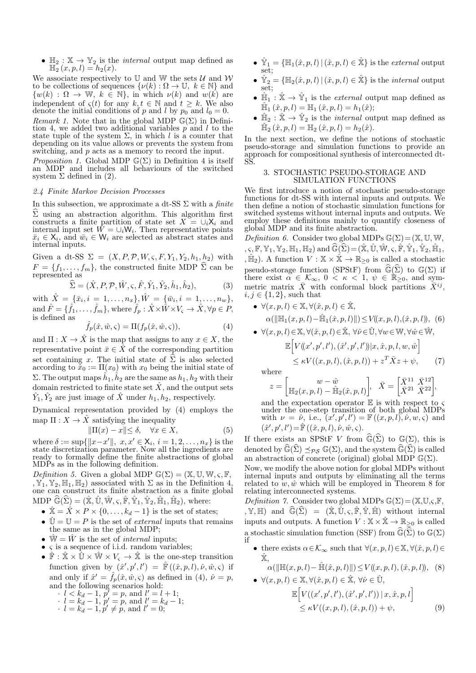•  $\mathbb{H}_2 : \mathbb{X} \to \mathbb{Y}_2$  is the *internal* output map defined as  $\mathbb{H}_{2}^{(x,p,l)} = h_{2}(x).$ 

We associate respectively to U and W the sets  $U$  and W to be collections of sequences  $\{\nu(k): \Omega \to \mathbb{U}, k \in \mathbb{N}\}\$ and  $\{w(k) : \Omega \to \mathbb{W}, k \in \mathbb{N}\},$  in which  $\nu(k)$  and  $w(k)$  are independent of  $\varsigma(t)$  for any  $k, t \in \mathbb{N}$  and  $t \geq k$ . We also denote the initial conditions of p and l by  $p_0$  and  $l_0 = 0$ . Remark 1. Note that in the global MDP  $\mathbb{G}(\Sigma)$  in Definition 4, we added two additional variables  $\hat{p}$  and l to the state tuple of the system  $\Sigma$ , in which l is a counter that depending on its value allows or prevents the system from switching, and p acts as a memory to record the input.

*Proposition 1.* Global MDP  $\mathbb{G}(\Sigma)$  in Definition 4 is itself an MDP and includes all behaviours of the switched system  $\Sigma$  defined in (2).

### 2.4 Finite Markov Decision Processes

In this subsection, we approximate a dt-SS  $\Sigma$  with a *finite*  $\Sigma$  using an abstraction algorithm. This algorithm first constructs a finite partition of state set  $X = \bigcup_i X_i$  and internal input set  $\tilde{W} = \cup_i W_i$ . Then representative points  $\bar{x}_i \in \mathsf{X}_i$ , and  $\bar{w}_i \in \mathsf{W}_i$  are selected as abstract states and internal inputs.

Given a dt-SS  $\Sigma = (X, P, \mathcal{P}, W, \varsigma, F, Y_1, Y_2, h_1, h_2)$  with  $F = \{f_1, \ldots, f_m\}$ , the constructed finite MDP  $\Sigma$  can be represented as

$$
\widehat{\Sigma} = (\hat{X}, P, \mathcal{P}, \hat{W}, \varsigma, \hat{F}, \hat{Y}_1, \hat{Y}_2, \hat{h}_1, \hat{h}_2),\tag{3}
$$

with  $\hat{X} = {\bar{x}_i, i = 1, ..., n_x}, \hat{W} = {\bar{w}_i, i = 1, ..., n_w},$ and  $\hat{F} = \{\hat{f}_1, \dots, \hat{f}_m\}$ , where  $\hat{f}_p : \hat{X} \times \hat{W} \times V_{\varsigma} \to \hat{X}$ ,  $\forall p \in P$ ,  $\frac{1}{2}$  is defined as

$$
\hat{f}_p(\hat{x}, \hat{w}, \varsigma) = \Pi(f_p(\hat{x}, \hat{w}, \varsigma)),\tag{4}
$$

and  $\Pi: X \to \hat{X}$  is the map that assigns to any  $x \in X$ , the representative point  $\bar{x} \in \bar{X}$  of the corresponding partition set containing x. The initial state of  $\hat{\Sigma}$  is also selected according to  $\tilde{x}_0 := \Pi(x_0)$  with  $x_0$  being the initial state of  $\Sigma$ . The output maps  $\hat{h}_1, \hat{h}_2$  are the same as  $h_1, h_2$  with their domain restricted to finite state set  $\hat{X}$ , and the output sets  $\hat{Y}_1, \hat{Y}_2$  are just image of  $\hat{X}$  under  $h_1, h_2$ , respectively.

Dynamical representation provided by (4) employs the map  $\Pi: X \to \hat{X}$  satisfying the inequality

$$
\|\Pi(x) - x\| \le \delta, \quad \forall x \in X,\tag{5}
$$

where  $\delta := \sup\{\|x - x'\|, x, x' \in \mathsf{X}_i, i = 1, 2, ..., n_x\}$  is the state discretization parameter. Now all the ingredients are ready to formally define the finite abstractions of global MDPs as in the following definition.

Definition 5. Given a global MDP  $\mathbb{G}(\Sigma) = (\mathbb{X}, \mathbb{U}, \mathbb{W}, \varsigma, \mathbb{F},$ ,  $\mathbb{Y}_1, \mathbb{Y}_2, \mathbb{H}_1, \mathbb{H}_2$  associated with  $\Sigma$  as in the Definition 4, one can construct its finite abstraction as a finite global MDP  $\widehat{\mathbb{G}}(\widehat{\Sigma}) = (\widehat{\mathbb{X}}, \widehat{\mathbb{U}}, \widehat{\mathbb{W}}, \varsigma, \widehat{\mathbb{F}}, \widehat{\mathbb{Y}}_1, \widehat{\mathbb{Y}}_2, \widehat{\mathbb{H}}_1, \widehat{\mathbb{H}}_2)$ , where:

- $\hat{\mathbb{X}} = \hat{X} \times P \times \{0, \ldots, k_d 1\}$  is the set of states;
- $\hat{\mathbb{U}} = \mathbb{U} = P$  is the set of *external* inputs that remains the same as in the global MDP;
- $\hat{W} = \hat{W}$  is the set of *internal* inputs:
- $\bullet$   $\varsigma$  is a sequence of i.i.d. random variables;
- $\mathbb{\hat{F}} : \mathbb{\hat{X}} \times \mathbb{\hat{U}} \times \mathbb{\hat{W}} \times V_{\varsigma} \rightarrow \mathbb{\hat{X}}$  is the one-step transition function given by  $(\hat{x}', p', l') = \hat{\mathbb{F}}((\hat{x}, p, l), \hat{\nu}, \hat{w}, \varsigma)$  if and only if  $\hat{x}' = \hat{f}_p(\hat{x}, \hat{w}, \zeta)$  as defined in (4),  $\hat{\nu} = p$ , and the following scenarios hold:  $l < k_d - 1$ ,  $p' = p$ , and  $l' = l + 1$ ;  $l = k_d - 1, p' = p, \text{ and } l' = k_d - 1;$

$$
l = k_d - 1, p' \neq p
$$
, and  $l' = 0$ ;

- $\hat{Y}_1 = \{\mathbb{H}_1(\hat{x}, p, l) | (\hat{x}, p, l) \in \hat{X}\}\$ is the *external* output set;
- $\hat{Y}_2 = \{\mathbb{H}_2(\hat{x}, p, l) | (\hat{x}, p, l) \in \hat{X}\}\$ is the *internal* output set;
- $\hat{\mathbb{H}}_1 : \hat{\mathbb{X}} \to \hat{\mathbb{Y}}_1$  is the *external* output map defined as  $\hat{\mathbb{H}}_1(\hat{x}, p, l) = \mathbb{H}_1(\hat{x}, p, l) = h_1(\hat{x});$
- $\hat{\mathbb{H}}_2$ :  $\hat{\mathbb{X}} \to \hat{\mathbb{Y}}_2$  is the *internal* output map defined as  $\hat{\mathbb{H}}_2(\hat{x}, p, l) = \mathbb{H}_2(\hat{x}, p, l) = h_2(\hat{x}).$

In the next section, we define the notions of stochastic pseudo-storage and simulation functions to provide an approach for compositional synthesis of interconnected dt-SS.

# 3. STOCHASTIC PSEUDO-STORAGE AND SIMULATION FUNCTIONS

We first introduce a notion of stochastic pseudo-storage functions for dt-SS with internal inputs and outputs. We then define a notion of stochastic simulation functions for switched systems without internal inputs and outputs. We employ these definitions mainly to quantify closeness of global MDP and its finite abstraction.

Definition 6. Consider two global MDPs  $\mathbb{G}(\Sigma) = (\mathbb{X}, \mathbb{U}, \mathbb{W},$  $, \varsigma, \mathbb{F}, \mathbb{Y}_1, \mathbb{Y}_2, \mathbb{H}_1, \mathbb{H}_2$  and  $\widehat{\mathbb{G}}(\widehat{\Sigma}) = (\widehat{\mathbb{X}}, \widehat{\mathbb{U}}, \widehat{\mathbb{W}}, \varsigma, \widehat{\mathbb{F}}, \widehat{\mathbb{Y}}_1, \widehat{\mathbb{Y}}_2, \widehat{\mathbb{H}}_1,$ ,  $\hat{\mathbb{H}}_2$ ). A function  $V : \mathbb{X} \times \hat{\mathbb{X}} \to \mathbb{R}_{\geq 0}$  is called a stochastic pseudo-storage function (SPStF) from  $\widehat{\mathbb{G}}(\widehat{\Sigma})$  to  $\mathbb{G}(\Sigma)$  if there exist  $\alpha \in \mathcal{K}_{\infty}$ ,  $0 < \kappa < 1$ ,  $\psi \in \mathbb{R}_{\geq 0}$ , and symmetric matrix  $\bar{X}$  with conformal block partitions  $\bar{X}^{ij}$ ,  $i, j \in \{1, 2\}$ , such that

\n- \n
$$
\forall (x, p, l) \in \mathbb{X}, \forall (\hat{x}, p, l) \in \hat{\mathbb{X}},
$$
\n
\n- \n $\alpha(\|\mathbb{H}_1(x, p, l) - \hat{\mathbb{H}}_1(\hat{x}, p, l)\|) \leq V((x, p, l), (\hat{x}, p, l)),$ \n
\n- \n $\forall (x, p, l) \in \mathbb{X}, \forall (\hat{x}, p, l) \in \hat{\mathbb{X}}, \forall \hat{\nu} \in \hat{\mathbb{U}}, \forall w \in \mathbb{W}, \forall \hat{w} \in \hat{\mathbb{W}},$ \n
\n

$$
\mathbb{E}\Big[V((x',p',l'),(\hat{x}',p',l'))|x,\hat{x},p,l,w,\hat{w}\Big] \leq \kappa V((x,p,l),(\hat{x},p,l)) + z^T \bar{X} z + \psi,
$$
 (7)

where  $\tilde{z}$ 

$$
= \begin{bmatrix} w - \hat w & \\ \mathbb{H}_2(x,p,l) - \hat{\mathbb{H}}_2(\hat x,p,l) \end{bmatrix}\!, \ \ \bar X = \begin{bmatrix} \bar X^{11} \ \bar X^{12} \\ \bar X^{21} \ \bar X^{22} \end{bmatrix}\!,
$$

and the expectation operator  $E$  is with respect to  $\varsigma$ under the one-step transition of both global MDPs with  $\nu = \hat{\nu}$ , i.e.,  $(x', p', l') = \mathbb{F}((x, p, l), \hat{\nu}, w, \varsigma)$  and  $(\hat{x}', p', l') = \mathbb{\hat{F}}((\hat{x}, p, l), \hat{\nu}, \hat{w}, \varsigma).$ 

If there exists an SPStF V from  $\widehat{\mathbb{G}}(\widehat{\Sigma})$  to  $\mathbb{G}(\Sigma)$ , this is denoted by  $\widehat{\mathbb{G}}(\widehat{\Sigma}) \preceq_{\mathcal{PS}} \mathbb{G}(\Sigma)$ , and the system  $\widehat{\mathbb{G}}(\widehat{\Sigma})$  is called an abstraction of concrete (original) global MDP  $\mathbb{G}(\Sigma)$ .

Now, we modify the above notion for global MDPs without internal inputs and outputs by eliminating all the terms related to  $w, \hat{w}$  which will be employed in Theorem 8 for relating interconnected systems.

Definition 7. Consider two global MDPs  $\mathbb{G}(\Sigma) = (\mathbb{X}, \mathbb{U}, \varsigma, \mathbb{F},$  $,\mathbb{Y},\mathbb{H})$  and  $\widehat{\mathbb{G}}(\widehat{\Sigma}) = (\widehat{\mathbb{X}},\widehat{\mathbb{U}},\varsigma,\widehat{\mathbb{F}},\widehat{\mathbb{Y}},\widehat{\mathbb{H}})$  without internal inputs and outputs. A function  $V : \mathbb{X} \times \hat{\mathbb{X}} \to \mathbb{R}_{\geq 0}$  is called a stochastic simulation function (SSF) from  $\widehat{\mathbb{G}}(\widehat{\Sigma})$  to  $\mathbb{G}(\Sigma)$ if

• there exists  $\alpha \in \mathcal{K}_{\infty}$  such that  $\forall (x, p, l) \in \mathbb{X}, \forall (\hat{x}, p, l) \in$  $\hat{\mathbb{X}}$ .

$$
\alpha(||\mathbb{H}(x, p, l) - \hat{\mathbb{H}}(\hat{x}, p, l)||) \le V((x, p, l), (\hat{x}, p, l)), (8)
$$
\n
$$
\forall (x, p, l) \in \mathbb{X} \ \forall (\hat{x}, p, l) \in \hat{\mathbb{X}} \ \forall \hat{v} \in \hat{\mathbb{H}}
$$

$$
(x, p, l) \in \mathbb{A}, \forall (x, p, l) \in \mathbb{A}, \forall \nu \in \mathbb{U},
$$
  

$$
\mathbb{E}\Big[V((x', p', l'), (\hat{x}', p', l')) \mid x, \hat{x}, p, l\Big]
$$
  

$$
\leq \kappa V((x, p, l), (\hat{x}, p, l)) + \psi,
$$
 (9)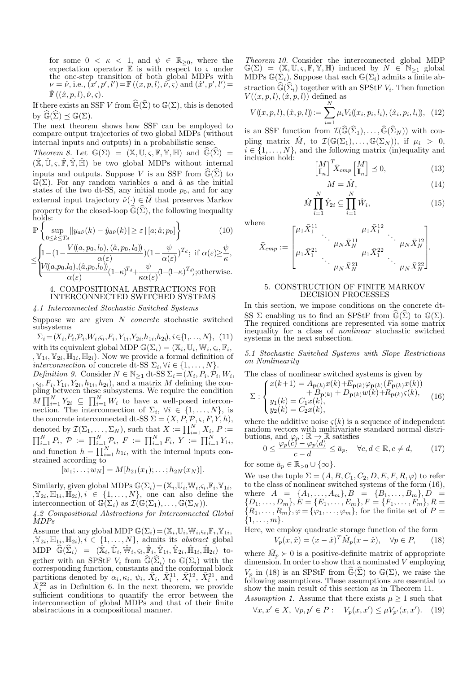for some  $0 < \kappa < 1$ , and  $\psi \in \mathbb{R}_{\geq 0}$ , where the expectation operator  $\mathbb E$  is with respect to  $\varsigma$  under the one-step transition of both global MDPs with  $\nu = \hat{\nu}$ , i.e.,  $(x', p', l') = \mathbb{F}((x, p, l), \hat{\nu}, \varsigma)$  and  $(\hat{x}', p', l') =$  $\hat{\mathbb{F}}((\hat{x}, p, l), \hat{\nu}, \varsigma).$ 

If there exists an SSF V from  $\widehat{\mathbb{G}}(\widehat{\Sigma})$  to  $\mathbb{G}(\Sigma)$ , this is denoted by  $\mathbb{G}(\Sigma) \preceq \mathbb{G}(\Sigma)$ .

The next theorem shows how SSF can be employed to compare output trajectories of two global MDPs (without internal inputs and outputs) in a probabilistic sense.

Theorem 8. Let  $\mathbb{G}(\Sigma) = (\mathbb{X}, \mathbb{U}, \varsigma, \mathbb{F}, \mathbb{Y}, \mathbb{H})$  and  $\widehat{\mathbb{G}}(\widehat{\Sigma}) =$  $(\mathbb{X}, \mathbb{U}, \varsigma, \mathbb{F}, \mathbb{Y}, \mathbb{H})$  be two global MDPs without internal inputs and outputs. Suppose V is an SSF from  $\widehat{\mathbb{G}}(\widehat{\Sigma})$  to  $\mathbb{G}(\Sigma)$ . For any random variables a and  $\hat{a}$  as the initial states of the two dt-SS, any initial mode  $p_0$ , and for any external input trajectory  $\hat{\nu}(\cdot) \in \hat{\mathcal{U}}$  that preserves Markov property for the closed-loop  $\widehat{\mathbb{G}}(\widehat{\Sigma})$ , the following inequality holds:

$$
\mathbb{P}\left\{\sup_{0\leq k\leq T_d} \|y_{a\hat{\nu}}(k) - \hat{y}_{\hat{a}\hat{\nu}}(k)\| \geq \varepsilon \,|\, [a; \hat{a}; p_0]\right\} \tag{10}
$$

$$
\leq \n\begin{cases}\n1 - (1 - \frac{V((a, p_0, l_0), (\hat{a}, p_0, l_0))}{\alpha(\varepsilon)})(1 - \frac{\psi}{\alpha(\varepsilon)})^{T_d}; & \text{if } \alpha(\varepsilon) \geq \frac{\psi}{\kappa}, \\
\frac{V((a, p_0, l_0), (\hat{a}, p_0, l_0))}{\alpha(\varepsilon)}(1 - \kappa)^{T_d} + \frac{\psi}{\kappa \alpha(\varepsilon)}(1 - (1 - \kappa)^{T_d}); & \text{otherwise.}\n\end{cases}
$$

# 4. COMPOSITIONAL ABSTRACTIONS FOR INTERCONNECTED SWITCHED SYSTEMS

# 4.1 Interconnected Stochastic Switched Systems

Suppose we are given  $N$  *concrete* stochastic switched subsystems

 $\Sigma_i = (X_i, P_i, \mathcal{P}_i, W_i, \varsigma_i, F_i, Y_{1i}, Y_{2i}, h_{1i}, h_{2i}), i \in \{1, \ldots, N\},$  (11) with its equivalent global MDP  $\mathbb{G}(\Sigma_i) = (\mathbb{X}_i, \mathbb{U}_i, \mathbb{W}_i, \varsigma_i, \mathbb{F}_i,$  $, \mathbb{Y}_{1i}, \mathbb{Y}_{2i}, \mathbb{H}_{1i}, \mathbb{H}_{2i})$ . Now we provide a formal definition of interconnection of concrete dt-SS  $\Sigma_i, \forall i \in \{1, ..., N\}.$ Definition 9. Consider  $N \in \mathbb{N}_{\geq 1}$  dt-SS  $\Sigma_i = (X_i, P_i, P_i, W_i, \mathcal{N}_i)$  $, \zeta_i, F_i, Y_{1i}, Y_{2i}, h_{1i}, h_{2i}$ , and a matrix M defining the coupling between these subsystems. We require the condition  $M \prod_{i=1}^{N} Y_{2i} \subseteq \prod_{i=1}^{N} W_i$  to have a well-posed interconnection. The interconnection of  $\Sigma_i$ ,  $\forall i \in \{1, ..., N\}$ , is the concrete interconnected dt-SS  $\Sigma = (X, P, P, \varsigma, F, Y, h),$ denoted by  $\mathcal{I}(\Sigma_1, \ldots, \Sigma_N)$ , such that  $X := \prod_{i=1}^N X_i$ ,  $P :=$  $\prod_{i=1}^N P_i, \; \mathcal{P} \;:=\; \prod_{i=1}^N \mathcal{P}_i, \; F \;:=\; \prod_{i=1}^N F_i, \; Y \;:=\; \prod_{i=1}^N Y_{1i},$ and function  $h = \prod_{i=1}^{N} h_{1i}$ , with the internal inputs constrained according to

$$
[w_1; \ldots; w_N] = M[h_{21}(x_1); \ldots; h_{2N}(x_N)].
$$

Similarly, given global MDPs  $\mathbb{G}(\Sigma_i) = (\mathbb{X}_i, \mathbb{U}_i, \mathbb{W}_i, \varsigma_i, \mathbb{F}_i, \mathbb{Y}_{1i},$  $\{Y_{2i}, \mathbb{H}_{1i}, \mathbb{H}_{2i}\}, i \in \{1, \ldots, N\},\$  one can also define the interconnection of  $\mathbb{G}(\Sigma_i)$  as  $\mathcal{I}(\mathbb{G}(\Sigma_1), \ldots, \mathbb{G}(\Sigma_N)).$ 

4.2 Compositional Abstractions for Interconnected Global MDPs

Assume that any global MDP  $\mathbb{G}(\Sigma_i) = (\mathbb{X}_i, \mathbb{U}_i, \mathbb{W}_i, \varsigma_i, \mathbb{F}_i, \mathbb{Y}_{1i},$  $,\mathbb{Y}_{2i},\mathbb{H}_{1i},\mathbb{H}_{2i}), i \in \{1,\ldots,N\},$  admits its *abstract* global MDP  $\widehat{\mathbb{G}}(\widehat{\Sigma}_i) = (\widehat{\mathbb{X}}_i, \widehat{\mathbb{U}}_i, \widehat{\mathbb{W}}_i, \varsigma_i, \widehat{\mathbb{F}}_i, \widehat{\mathbb{Y}}_{1i}, \widehat{\mathbb{Y}}_{2i}, \widehat{\mathbb{H}}_{1i}, \widehat{\mathbb{H}}_{2i})$  together with an SPStF  $V_i$  from  $\widehat{\mathbb{G}}(\widehat{\Sigma}_i)$  to  $\mathbb{G}(\Sigma_i)$  with the corresponding function, constants and the conformal block partitions denoted by  $\alpha_i, \kappa_i, \psi_i, \bar{X}_i, \bar{X}_i^{11}, \bar{X}_i^{12}, \bar{X}_i^{21}$ , and  $\bar{X}^{22}_{i}$  as in Definition 6. In the next theorem, we provide sufficient conditions to quantify the error between the interconnection of global MDPs and that of their finite abstractions in a compositional manner.

Theorem 10. Consider the interconnected global MDP  $\mathbb{G}(\Sigma) = (\mathbb{X}, \mathbb{U}, \varsigma, \mathbb{F}, \mathbb{Y}, \mathbb{H})$  induced by  $N \in \mathbb{N}_{\geq 1}$  global MDPs  $\mathbb{G}(\Sigma_i)$ . Suppose that each  $\mathbb{G}(\Sigma_i)$  admits a finite abstraction  $\widehat{\mathbb{G}}(\widehat{\Sigma}_i)$  together with an SPStF  $V_i$ . Then function  $V((x, p, l), (\hat{x}, p, l))$  defined as

$$
V((x, p, l), (\hat{x}, p, l)) := \sum_{i=1}^{N} \mu_i V_i((x_i, p_i, l_i), (\hat{x}_i, p_i, l_i)), \quad (12)
$$

is an SSF function from  $\mathcal{I}(\mathbb{G}(\Sigma_1), \ldots, \mathbb{G}(\Sigma_N))$  with coupling matrix  $\hat{M}$ , to  $\mathcal{I}(\mathbb{G}(\Sigma_1),...,\mathbb{G}(\Sigma_N))$ , if  $\mu_i > 0$ ,  $i \in \{1, \ldots, N\}$ , and the following matrix (in)equality and inclusion hold:

$$
\begin{bmatrix} M \\ \mathbb{I}_n \end{bmatrix}^T \bar{X}_{cmp} \begin{bmatrix} M \\ \mathbb{I}_n \end{bmatrix} \preceq 0, \tag{13}
$$

$$
M = \hat{M},\tag{14}
$$

$$
\hat{M} \prod_{i=1}^{N} \hat{Y}_{2i} \subseteq \prod_{i=1}^{N} \hat{W}_i,
$$
\n(15)

where

$$
\bar{X}_{cmp} := \begin{bmatrix} \mu_1 \bar{X}_1^{11} & \mu_1 \bar{X}_1^{12} & \cdots & \mu_N \bar{X}_N^{12} \\ \mu_1 \bar{X}_1^{21} & \cdots & \mu_1 \bar{X}_1^{22} & \cdots & \mu_N \bar{X}_N^{22} \\ \cdots & \cdots & \cdots & \cdots & \cdots \\ \end{bmatrix}.
$$

### 5. CONSTRUCTION OF FINITE MARKOV DECISION PROCESSES

In this section, we impose conditions on the concrete dt-SS Σ enabling us to find an SPStF from  $\widehat{\mathbb{G}}(\widehat{\Sigma})$  to  $\mathbb{G}(\Sigma)$ . The required conditions are represented via some matrix inequality for a class of nonlinear stochastic switched systems in the next subsection.

5.1 Stochastic Switched Systems with Slope Restrictions on Nonlinearity

The class of nonlinear switched systems is given by<br> $Cx(k+1) = A \cos(k) + E \cos(k) \sin(k) \sin(k)$ 

$$
\Sigma: \begin{cases} x(k+1) = A_{\mathbf{p}(k)} x(k) + E_{\mathbf{p}(k)} \varphi_{\mathbf{p}(k)} (F_{\mathbf{p}(k)} x(k)) \\ + B_{\mathbf{p}(k)} + D_{\mathbf{p}(k)} w(k) + R_{\mathbf{p}(k)} s(k), \\ y_1(k) = C_1 x(k), \\ y_2(k) = C_2 x(k), \end{cases} (16)
$$

where the additive noise  $\varsigma(k)$  is a sequence of independent random vectors with multivariate standard normal distributions, and  $\varphi_p : \mathbb{R} \to \mathbb{R}$  satisfies

$$
0 \le \frac{\varphi_p(c) - \varphi_p(d)}{c - d} \le \bar{a}_p, \quad \forall c, d \in \mathbb{R}, c \ne d,
$$
 (17)

for some  $\bar{a}_p \in \mathbb{R}_{>0} \cup \{\infty\}.$ 

We use the tuple  $\Sigma = (A, B, C_1, C_2, D, E, F, R, \varphi)$  to refer to the class of nonlinear switched systems of the form (16), where  $A = \{A_1, \ldots, A_m\}, B = \{B_1, \ldots, B_m\}, D =$  $\{D_1, \ldots, D_m\}, E = \{E_1, \ldots, E_m\}, F = \{F_1, \ldots, F_m\}, R =$  $\{R_1, \ldots, R_m\}, \varphi = \{\varphi_1, \ldots, \varphi_m\},$  for the finite set of  $P =$  $\{1, \ldots, m\}.$ 

Here, we employ quadratic storage function of the form

$$
V_p(x, \hat{x}) = (x - \hat{x})^T \tilde{M}_p(x - \hat{x}), \quad \forall p \in P, \qquad (18)
$$

where  $\tilde{M}_p \succ 0$  is a positive-definite matrix of appropriate dimension. In order to show that a nominated V employing  $V_p$  in (18) is an SPStF from  $\widehat{\mathbb{G}}(\widehat{\Sigma})$  to  $\mathbb{G}(\Sigma)$ , we raise the following assumptions. These assumptions are essential to show the main result of this section as in Theorem 11. Assumption 1. Assume that there exists  $\mu > 1$  such that

*Example 17. Assume that there exists* 
$$
\mu \ge 1
$$
 such that  $\forall x, x' \in X$ ,  $\forall p, p' \in P$ :  $V_p(x, x') \le \mu V_{p'}(x, x')$ . (19)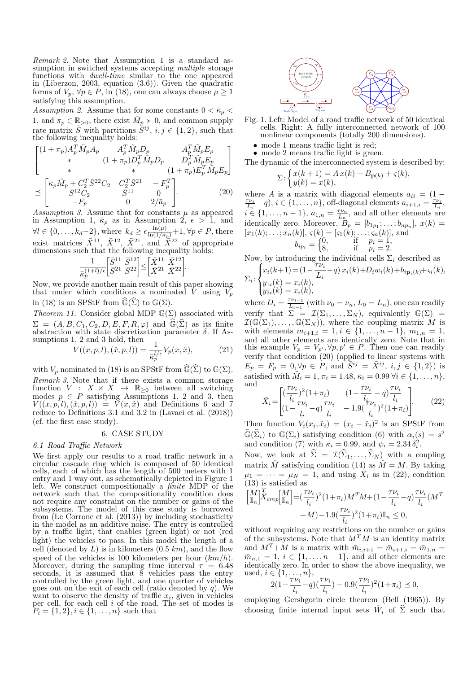Remark 2. Note that Assumption 1 is a standard assumption in switched systems accepting *multiple* storage functions with *dwell-time* similar to the one appeared in (Liberzon, 2003, equation (3.6)). Given the quadratic forms of  $V_p$ ,  $\forall p \in P$ , in (18), one can always choose  $\mu \geq 1$ satisfying this assumption.

Assumption 2. Assume that for some constants  $0 < \bar{\kappa}_p <$ 1, and  $\pi_p \in \mathbb{R}_{>0}$ , there exist  $\tilde{M}_p \succ 0$ , and common supply rate matrix  $\bar{S}$  with partitions  $\bar{S}^{ij}$ ,  $i, j \in \{1, 2\}$ , such that the following inequality holds:

$$
\begin{bmatrix}\n(1+\pi_p)A_p^T \tilde{M}_p A_p & A_p^T \tilde{M}_p D_p & A_p^T \tilde{M}_p E_p \\
* & (1+\pi_p)D_p^T \tilde{M}_p D_p & D_p^T \tilde{M}_p E_p \\
* & * & (1+\pi_p)E_p^T \tilde{M}_p E_p\n\end{bmatrix}
$$
\n
$$
\preceq \begin{bmatrix}\n\bar{\kappa}_p \tilde{M}_p + C_2^T \bar{S}^{22} C_2 & C_2^T \bar{S}^{21} & -F_p^T \\
\bar{S}^{12} C_2 & \bar{S}^{11} & 0 \\
-F_p & 0 & 2/\bar{a}_p\n\end{bmatrix}.
$$
\n(20)

Assumption 3. Assume that for constants  $\mu$  as appeared in Assumption 1,  $\bar{\kappa}_p$  as in Assumption 2,  $\epsilon > 1$ , and  $\forall l \in \{0, \ldots, k_d-2\}$ , where  $k_d \geq \epsilon \frac{\ln(\mu)}{\ln(1/\bar{\kappa}_p)} + 1$ ,  $\forall p \in P$ , there exist matrices  $\bar{X}^{11}$ ,  $\bar{X}^{12}$ ,  $\bar{X}^{21}$ , and  $\bar{X}^{22}$  of appropriate dimensions such that the following inequality holds:

$$
\frac{1}{\bar \kappa_p^{(1+l)/\epsilon}} \bigg[ \frac{\bar S^{11}}{\bar S^{21}} \frac{\bar S^{12}}{\bar S^{22}} \bigg] \hspace{-0.05cm}\leq \hspace{-0.05cm} \bigg[ \frac{\bar X^{11}}{\bar X^{21}} \frac{\bar X^{12}}{\bar X^{22}} \bigg].
$$

Now, we provide another main result of this paper showing that under which conditions a nominated  $\hat{V}$  using  $V_p$ in (18) is an SPStF from  $\widehat{\mathbb{G}}(\widehat{\Sigma})$  to  $\mathbb{G}(\Sigma)$ .

Theorem 11. Consider global MDP  $\mathbb{G}(\Sigma)$  associated with  $\Sigma = (A, B, C_1, C_2, D, E, F, R, \varphi)$  and  $\widehat{\mathbb{G}}(\widehat{\Sigma})$  as its finite abstraction with state discretization parameter  $\delta$ . If Assumptions 1, 2 and 3 hold, then<br>  $V((x, p, l), (\hat{x}, p, l)) = \frac{1}{l}$ 

$$
V((x, p, l), (\hat{x}, p, l)) = \frac{1}{\bar{\kappa}_p^{l/\epsilon}} V_p(x, \hat{x}), \tag{21}
$$

with  $V_p$  nominated in (18) is an SPStF from  $\widehat{\mathbb{G}}(\widehat{\Sigma})$  to  $\mathbb{G}(\Sigma)$ . Remark 3. Note that if there exists a common storage function  $V : X \times X \rightarrow \mathbb{R}_{\geq 0}$  between all switching modes  $p \in P$  satisfying Assumptions 1, 2 and 3, then  $V((x, p, l), (\hat{x}, p, l)) = V(x, \hat{x})$  and Definitions 6 and 7 reduce to Definitions 3.1 and 3.2 in (Lavaei et al. (2018)) (cf. the first case study).

# 6. CASE STUDY

## 6.1 Road Traffic Network

We first apply our results to a road traffic network in a circular cascade ring which is composed of 50 identical cells, each of which has the length of 500 meters with 1 entry and 1 way out, as schematically depicted in Figure 1 left. We construct compositionally a finite MDP of the network such that the compositionality condition does not require any constraint on the number or gains of the subsystems. The model of this case study is borrowed from (Le Corronc et al. (2013)) by including stochasticity in the model as an additive noise. The entry is controlled by a traffic light, that enables (green light) or not (red light) the vehicles to pass. In this model the length of a cell (denoted by  $L$ ) is in kilometers  $(0.5 \; km)$ , and the flow speed of the vehicles is 100 kilometers per hour  $(km/h)$ . Moreover, during the sampling time interval  $\tau = 6.48$ seconds, it is assumed that  $\tilde{8}$  vehicles pass the entry controlled by the green light, and one quarter of vehicles goes out on the exit of each cell (ratio denoted by  $q$ ). We want to observe the density of traffic  $x_i$ , given in vehicles per cell, for each cell i of the road. The set of modes is  $P_i = \{1, 2\}, i \in \{1, \ldots, n\}$  such that



- Fig. 1. Left: Model of a road traffic network of 50 identical cells. Right: A fully interconnected network of 100 nonlinear components (totally 200 dimensions).
	- mode 1 means traffic light is red;
	- mode 2 means traffic light is green.

The dynamic of the interconnected system is described by:

$$
\Sigma: \begin{cases} x(k+1) = A\,x(k) + B_{\mathbf{p}(k)} + \varsigma(k), \\ y(k) = x(k), \end{cases}
$$

where A is a matrix with diagonal elements  $a_{ii} = (1 \frac{\tau \nu_i}{L_i} - q$ ,  $i \in \{1, \ldots, n\}$ , off-diagonal elements  $a_{i+1,i} = \frac{\tau \nu_i}{L_i}$ ,  $\vec{i} \in \{1, \ldots, n-1\}, a_{1,n} = \frac{\tau \nu_n}{L_n}$ , and all other elements are identically zero. Moreover,  $B_p = [b_{1p_1}; \ldots; b_{np_n}], x(k) =$  $[x_1(k);\ldots;x_n(k)],\,\varsigma(k)=[\varsigma_1(k);\ldots;\varsigma_n(k)],$  and

$$
b_{ip_i} = \begin{cases} 0, & \text{if } p_i = 1, \\ 8, & \text{if } p_i = 2. \end{cases}
$$

Now, by introducing the individual cells  $\Sigma_i$  described as

$$
\Sigma_i: \begin{cases} x_i(k+1) = (1 - \frac{7\nu_i}{L_i} - q) x_i(k) + D_i w_i(k) + b_{i\mathbf{p}_i(k)} + c_i(k), \\ y_{1i}(k) = x_i(k), \\ y_{2i}(k) = x_i(k), \end{cases}
$$

where  $D_i = \frac{\tau \nu_{i-1}}{L_{i-1}}$  $\frac{\tau \nu_{i-1}}{L_{i-1}}$  (with  $\nu_0 = \nu_n$ ,  $L_0 = L_n$ ), one can readily verify that  $\Sigma = \mathcal{I}(\Sigma_1,\ldots,\Sigma_N)$ , equivalently  $\mathbb{G}(\Sigma)$  =  $\mathcal{I}(\mathbb{G}(\Sigma_1),\ldots,\mathbb{G}(\Sigma_N)),$  where the coupling matrix M is with elements  $m_{i+1,i} = 1, i \in \{1, \ldots, n-1\}, m_{1,n} = 1,$ and all other elements are identically zero. Note that in this example  $V_p = V_{p'}, \forall p, p' \in P$ . Then one can readily verify that condition (20) (applied to linear systems with  $E_p = F_p = 0, \forall p \in P$ , and  $\bar{S}^{ij} = \bar{X}^{ij}$ ,  $i, j \in \{1, 2\}$  is satisfied with  $\tilde{M}_i = 1, \pi_i = 1.48, \bar{\kappa}_i = 0.99 \,\forall i \in \{1, ..., n\},$ and  $\tau \nu_i$  $\tau \nu_i$  $\tau \nu_i$ 

$$
\bar{X}_i = \begin{bmatrix} (\frac{\gamma \nu_i}{l_i})^2 (1 + \pi_i) & (1 - \frac{\gamma \nu_i}{l_i} - q) \frac{\gamma \nu_i}{l_i} \\ (1 - \frac{\tau \nu_i}{l_i} - q) \frac{\tau \nu_i}{l_i} & -1.9(\frac{\tau \nu_i}{l_i})^2 (1 + \pi_i) \end{bmatrix} (22)
$$

Then function  $V_i(x_i, \hat{x}_i) = (x_i - \hat{x}_i)^2$  is an SPStF from  $\widehat{\mathbb{G}}(\widehat{\Sigma}_i)$  to  $\mathbb{G}(\Sigma_i)$  satisfying condition (6) with  $\alpha_i(s) = s^2$ and condition (7) with  $\kappa_i = 0.99$ , and  $\psi_i = 2.34 \delta_i^2$ .

Now, we look at  $\hat{\Sigma} = \mathcal{I}(\hat{\Sigma}_1, \dots, \hat{\Sigma}_N )$  with a coupling matrix  $\hat{M}$  satisfying condition (14) as  $\hat{M} = M$ . By taking  $\mu_1 = \cdots = \mu_N = 1$ , and using  $\overline{X}_i$  as in (22), condition (13) is satisfied as

$$
\begin{aligned} \begin{bmatrix} M \\ \mathbb{I}_n \end{bmatrix} & \overline{X}_{cmp} \begin{bmatrix} M \\ \mathbb{I}_n \end{bmatrix} = & (\frac{\tau \nu_i}{l_i})^2 (1 + \pi_i) M^T M + (1 - \frac{\tau \nu_i}{l_i} - q) \frac{\tau \nu_i}{l_i} (M^T \\ & \qquad + M) - 1.9 (\frac{\tau \nu_i}{l_i})^2 (1 + \pi_i) \mathbb{I}_n \leq 0, \end{aligned}
$$

without requiring any restrictions on the number or gains of the subsystems. Note that  $M^T M$  is an identity matrix and  $M^T+M$  is a matrix with  $\bar{m}_{i,i+1} = \bar{m}_{i+1,i} = \bar{m}_{1,n} =$  $\overline{m}_{n,1} = 1, i \in \{1, \ldots, n-1\}$ , and all other elements are identically zero. In order to show the above inequality, we used,  $i \in \{1, \ldots, n\},\$ 

$$
2(1 - \frac{\tau \nu_i}{l_i} - q)(\frac{\tau \nu_i}{l_i}) - 0.9(\frac{\tau \nu_i}{l_i})^2(1 + \pi_i) \le 0,
$$

employing Gershgorin circle theorem (Bell (1965)). By choosing finite internal input sets  $\hat{W}_i$  of  $\hat{\Sigma}$  such that